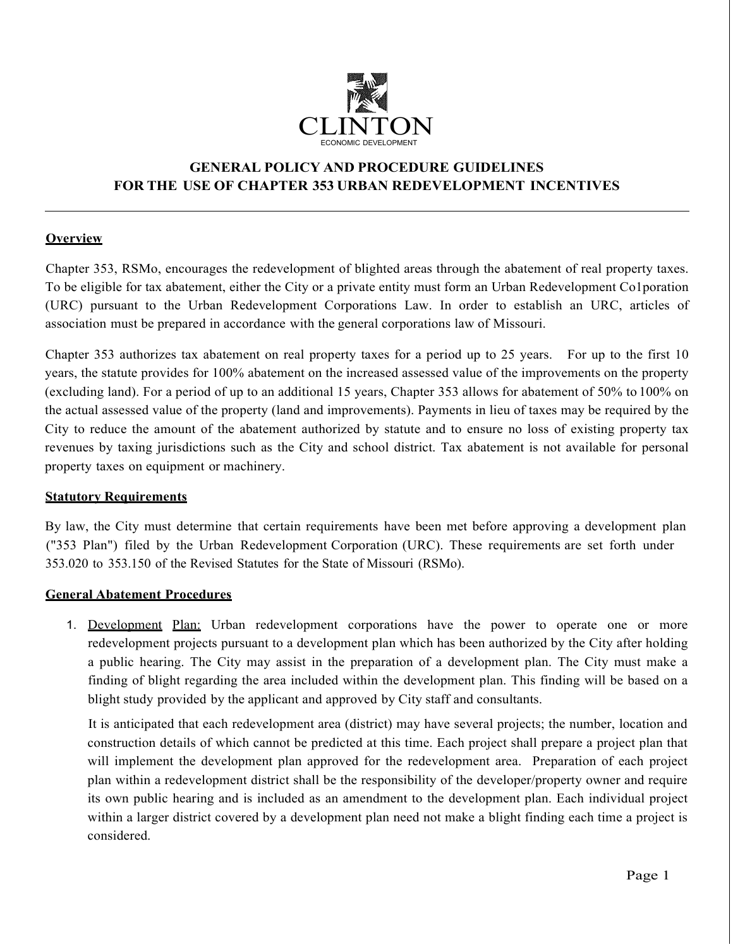

# **GENERAL POLICY AND PROCEDURE GUIDELINES FOR THE USE OF CHAPTER 353 URBAN REDEVELOPMENT INCENTIVES**

## **Overview**

Chapter 353, RSMo, encourages the redevelopment of blighted areas through the abatement of real property taxes. To be eligible for tax abatement, either the City or a private entity must form an Urban Redevelopment Co1poration (URC) pursuant to the Urban Redevelopment Corporations Law. In order to establish an URC, articles of association must be prepared in accordance with the general corporations law of Missouri.

Chapter 353 authorizes tax abatement on real property taxes for a period up to 25 years. For up to the first 10 years, the statute provides for 100% abatement on the increased assessed value of the improvements on the property (excluding land). For a period of up to an additional 15 years, Chapter 353 allows for abatement of 50% to 100% on the actual assessed value of the property (land and improvements). Payments in lieu of taxes may be required by the City to reduce the amount of the abatement authorized by statute and to ensure no loss of existing property tax revenues by taxing jurisdictions such as the City and school district. Tax abatement is not available for personal property taxes on equipment or machinery.

#### **Statutory Requirements**

By law, the City must determine that certain requirements have been met before approving a development plan ("353 Plan") filed by the Urban Redevelopment Corporation (URC). These requirements are set forth under 353.020 to 353.150 of the Revised Statutes for the State of Missouri (RSMo).

#### **General Abatement Procedures**

1. Development Plan: Urban redevelopment corporations have the power to operate one or more redevelopment projects pursuant to a development plan which has been authorized by the City after holding a public hearing. The City may assist in the preparation of a development plan. The City must make a finding of blight regarding the area included within the development plan. This finding will be based on a blight study provided by the applicant and approved by City staff and consultants.

It is anticipated that each redevelopment area (district) may have several projects; the number, location and construction details of which cannot be predicted at this time. Each project shall prepare a project plan that will implement the development plan approved for the redevelopment area. Preparation of each project plan within a redevelopment district shall be the responsibility of the developer/property owner and require its own public hearing and is included as an amendment to the development plan. Each individual project within a larger district covered by a development plan need not make a blight finding each time a project is considered.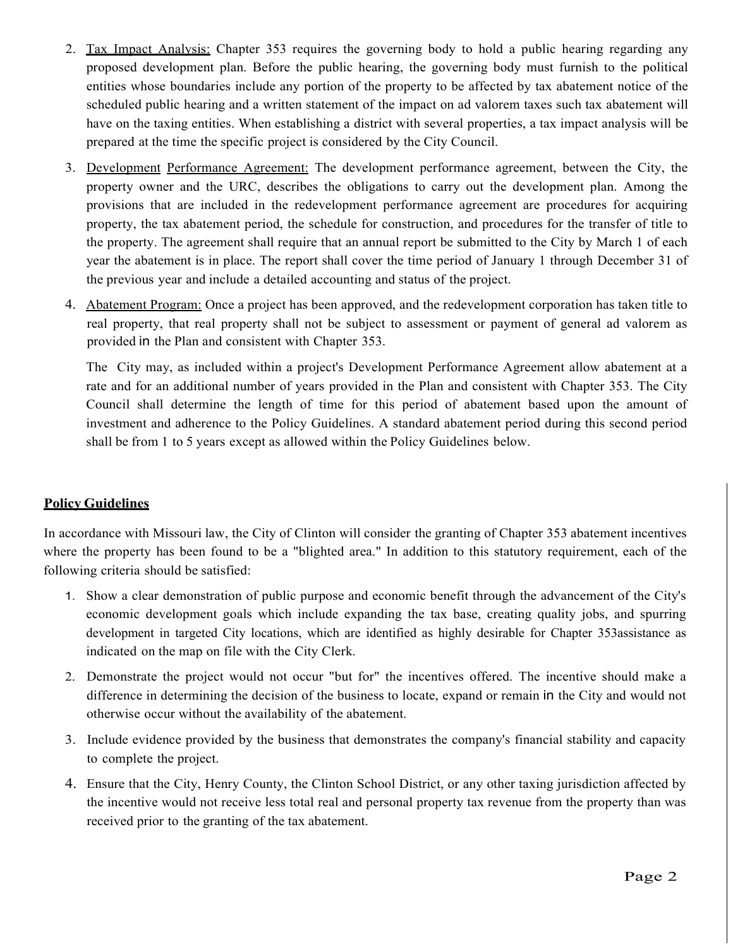- 2. Tax Impact Analysis: Chapter 353 requires the governing body to hold a public hearing regarding any proposed development plan. Before the public hearing, the governing body must furnish to the political entities whose boundaries include any portion of the property to be affected by tax abatement notice of the scheduled public hearing and a written statement of the impact on ad valorem taxes such tax abatement will have on the taxing entities. When establishing a district with several properties, a tax impact analysis will be prepared at the time the specific project is considered by the City Council.
- 3. Development Performance Agreement: The development performance agreement, between the City, the property owner and the URC, describes the obligations to carry out the development plan. Among the provisions that are included in the redevelopment performance agreement are procedures for acquiring property, the tax abatement period, the schedule for construction, and procedures for the transfer of title to the property. The agreement shall require that an annual report be submitted to the City by March 1 of each year the abatement is in place. The report shall cover the time period of January 1 through December 31 of the previous year and include a detailed accounting and status of the project.
- 4. Abatement Program: Once a project has been approved, and the redevelopment corporation has taken title to real property, that real property shall not be subject to assessment or payment of general ad valorem as provided in the Plan and consistent with Chapter 353.

The City may, as included within a project's Development Performance Agreement allow abatement at a rate and for an additional number of years provided in the Plan and consistent with Chapter 353. The City Council shall determine the length of time for this period of abatement based upon the amount of investment and adherence to the Policy Guidelines. A standard abatement period during this second period shall be from 1 to 5 years except as allowed within the Policy Guidelines below.

## **Policy Guidelines**

In accordance with Missouri law, the City of Clinton will consider the granting of Chapter 353 abatement incentives where the property has been found to be a "blighted area." In addition to this statutory requirement, each of the following criteria should be satisfied:

- 1. Show a clear demonstration of public purpose and economic benefit through the advancement of the City's economic development goals which include expanding the tax base, creating quality jobs, and spurring development in targeted City locations, which are identified as highly desirable for Chapter 353assistance as indicated on the map on file with the City Clerk.
- 2. Demonstrate the project would not occur "but for" the incentives offered. The incentive should make a difference in determining the decision of the business to locate, expand or remain in the City and would not otherwise occur without the availability of the abatement.
- 3. Include evidence provided by the business that demonstrates the company's financial stability and capacity to complete the project.
- 4. Ensure that the City, Henry County, the Clinton School District, or any other taxing jurisdiction affected by the incentive would not receive less total real and personal property tax revenue from the property than was received prior to the granting of the tax abatement.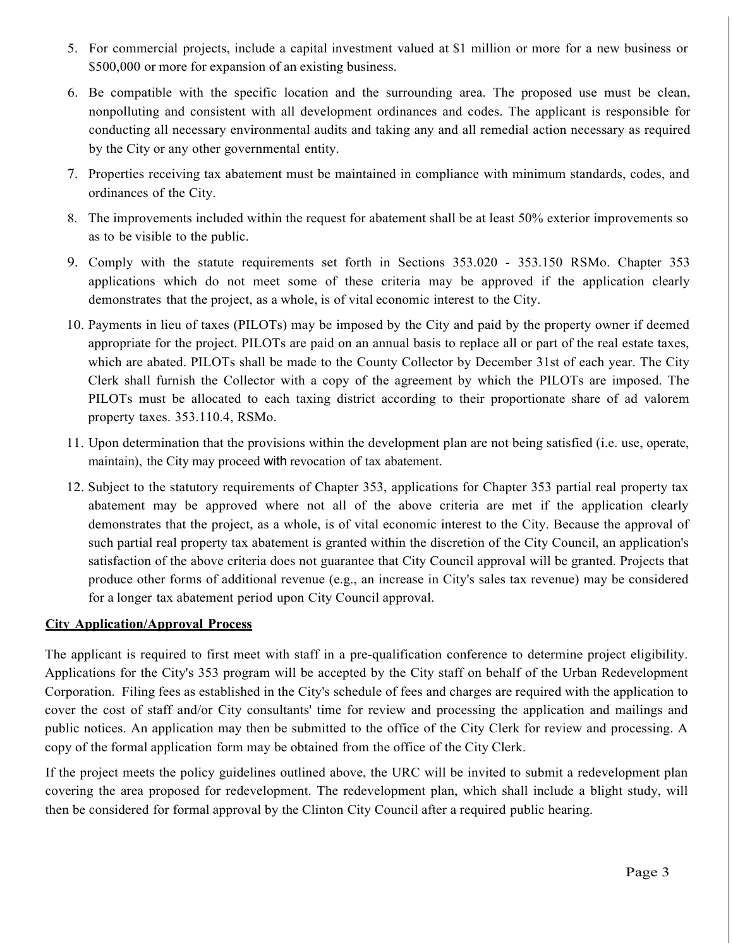- 5. For commercial projects, include a capital investment valued at \$1 million or more for a new business or \$500,000 or more for expansion of an existing business.
- 6. Be compatible with the specific location and the surrounding area. The proposed use must be clean, nonpolluting and consistent with all development ordinances and codes. The applicant is responsible for conducting all necessary environmental audits and taking any and all remedial action necessary as required by the City or any other governmental entity.
- 7. Properties receiving tax abatement must be maintained in compliance with minimum standards, codes, and ordinances of the City.
- 8. The improvements included within the request for abatement shall be at least 50% exterior improvements so as to be visible to the public.
- 9. Comply with the statute requirements set forth in Sections 353.020 353.150 RSMo. Chapter 353 applications which do not meet some of these criteria may be approved if the application clearly demonstrates that the project, as a whole, is of vital economic interest to the City.
- 10. Payments in lieu of taxes (PILOTs) may be imposed by the City and paid by the property owner if deemed appropriate for the project. PILOTs are paid on an annual basis to replace all or part of the real estate taxes, which are abated. PILOTs shall be made to the County Collector by December 31st of each year. The City Clerk shall furnish the Collector with a copy of the agreement by which the PILOTs are imposed. The PILOTs must be allocated to each taxing district according to their proportionate share of ad valorem property taxes. 353.110.4, RSMo.
- 11. Upon determination that the provisions within the development plan are not being satisfied (i.e. use, operate, maintain), the City may proceed with revocation of tax abatement.
- 12. Subject to the statutory requirements of Chapter 353, applications for Chapter 353 partial real property tax abatement may be approved where not all of the above criteria are met if the application clearly demonstrates that the project, as a whole, is of vital economic interest to the City. Because the approval of such partial real property tax abatement is granted within the discretion of the City Council, an application's satisfaction of the above criteria does not guarantee that City Council approval will be granted. Projects that produce other forms of additional revenue (e.g., an increase in City's sales tax revenue) may be considered for a longer tax abatement period upon City Council approval.

#### **City Application/Approval Process**

The applicant is required to first meet with staff in a pre-qualification conference to determine project eligibility. Applications for the City's 353 program will be accepted by the City staff on behalf of the Urban Redevelopment Corporation. Filing fees as established in the City's schedule of fees and charges are required with the application to cover the cost of staff and/or City consultants' time for review and processing the application and mailings and public notices. An application may then be submitted to the office of the City Clerk for review and processing. A copy of the formal application form may be obtained from the office of the City Clerk.

If the project meets the policy guidelines outlined above, the URC will be invited to submit a redevelopment plan covering the area proposed for redevelopment. The redevelopment plan, which shall include a blight study, will then be considered for formal approval by the Clinton City Council after a required public hearing.